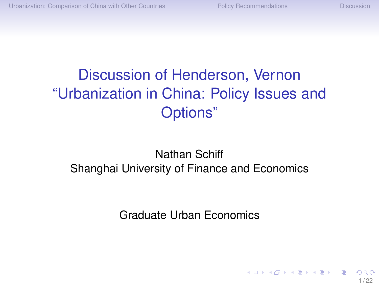**≮ロト ⊀伺 ▶ ⊀ ヨ ▶ ⊀ ヨ ▶** 

# <span id="page-0-0"></span>Discussion of Henderson, Vernon "Urbanization in China: Policy Issues and Options"

#### Nathan Schiff Shanghai University of Finance and Economics

Graduate Urban Economics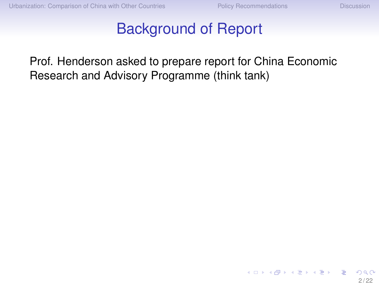#### Background of Report

Prof. Henderson asked to prepare report for China Economic Research and Advisory Programme (think tank)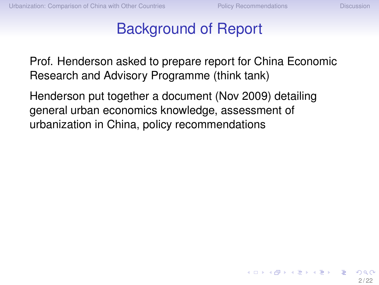イロト イ押 トイヨ トイヨ トー

#### Background of Report

Prof. Henderson asked to prepare report for China Economic Research and Advisory Programme (think tank)

Henderson put together a document (Nov 2009) detailing general urban economics knowledge, assessment of urbanization in China, policy recommendations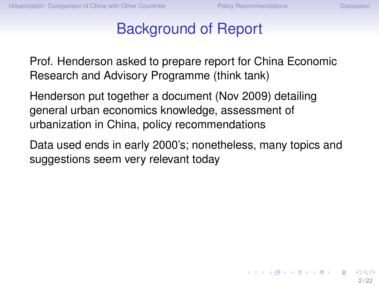K ロ ▶ K 何 ▶ K ヨ ▶ K ヨ ▶ ...

#### Background of Report

Prof. Henderson asked to prepare report for China Economic Research and Advisory Programme (think tank)

Henderson put together a document (Nov 2009) detailing general urban economics knowledge, assessment of urbanization in China, policy recommendations

Data used ends in early 2000's; nonetheless, many topics and suggestions seem very relevant today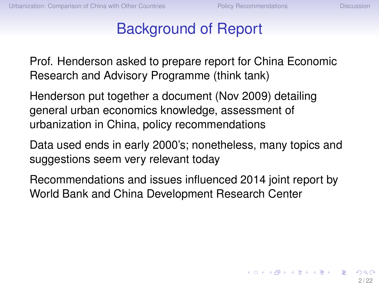イロト イ押 トイヨ トイヨト

#### Background of Report

Prof. Henderson asked to prepare report for China Economic Research and Advisory Programme (think tank)

Henderson put together a document (Nov 2009) detailing general urban economics knowledge, assessment of urbanization in China, policy recommendations

Data used ends in early 2000's; nonetheless, many topics and suggestions seem very relevant today

Recommendations and issues influenced 2014 joint report by World Bank and China Development Research Center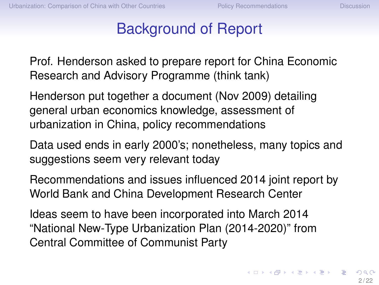#### Background of Report

Prof. Henderson asked to prepare report for China Economic Research and Advisory Programme (think tank)

Henderson put together a document (Nov 2009) detailing general urban economics knowledge, assessment of urbanization in China, policy recommendations

Data used ends in early 2000's; nonetheless, many topics and suggestions seem very relevant today

Recommendations and issues influenced 2014 joint report by World Bank and China Development Research Center

Ideas seem to have been incorporated into March 2014 "National New-Type Urbanization Plan (2014-2020)" from Central Committee of Communist Party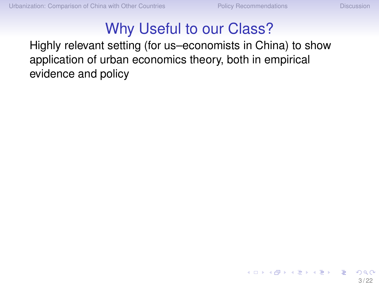**≮ロト ⊀伺 ▶ ⊀ ヨ ▶ ⊀ ヨ ▶** 

#### Why Useful to our Class?

Highly relevant setting (for us–economists in China) to show application of urban economics theory, both in empirical evidence and policy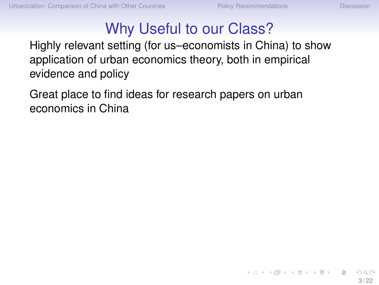K ロ ▶ K 何 ▶ K ヨ ▶ K ヨ ▶ ...

# Why Useful to our Class?

Highly relevant setting (for us–economists in China) to show application of urban economics theory, both in empirical evidence and policy

Great place to find ideas for research papers on urban economics in China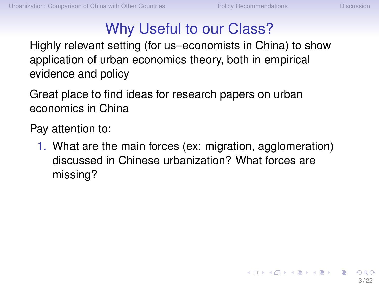$\left\{ \begin{array}{ccc} \square & \times & \overline{\cap} & \times \end{array} \right. \left\{ \begin{array}{ccc} \square & \times & \times & \square & \times \end{array} \right. \quad \square$ 

# Why Useful to our Class?

Highly relevant setting (for us–economists in China) to show application of urban economics theory, both in empirical evidence and policy

Great place to find ideas for research papers on urban economics in China

Pay attention to:

1. What are the main forces (ex: migration, agglomeration) discussed in Chinese urbanization? What forces are missing?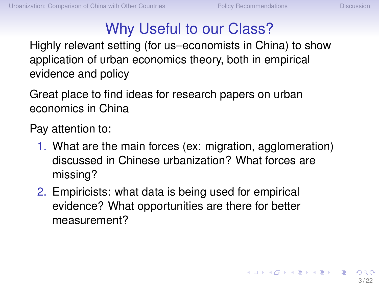K ロ × K 御 × K 君 × K 君 × 三君

# Why Useful to our Class?

Highly relevant setting (for us–economists in China) to show application of urban economics theory, both in empirical evidence and policy

Great place to find ideas for research papers on urban economics in China

Pay attention to:

- 1. What are the main forces (ex: migration, agglomeration) discussed in Chinese urbanization? What forces are missing?
- 2. Empiricists: what data is being used for empirical evidence? What opportunities are there for better measurement?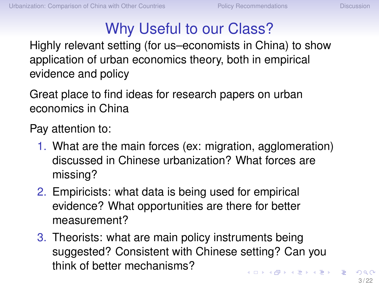# Why Useful to our Class?

<span id="page-10-0"></span>Highly relevant setting (for us–economists in China) to show application of urban economics theory, both in empirical evidence and policy

Great place to find ideas for research papers on urban economics in China

Pay attention to:

- 1. What are the main forces (ex: migration, agglomeration) discussed in Chinese urbanization? What forces are missing?
- 2. Empiricists: what data is being used for empirical evidence? What opportunities are there for better measurement?
- 3. Theorists: what are main policy instruments being suggested? Consistent with Chinese setting? Can you think of better mechanisms?  $\mathbf{A} \oplus \mathbf{A} \rightarrow \mathbf{A} \oplus \mathbf{A} \rightarrow \mathbf{A} \oplus \mathbf{A} \rightarrow \mathbf{A} \oplus \mathbf{A}$

 $3/22$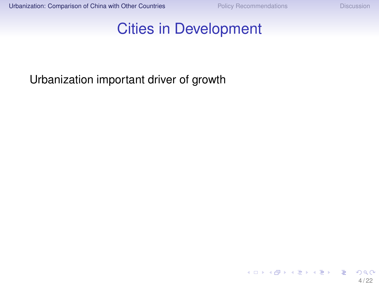#### <span id="page-11-0"></span>Cities in Development

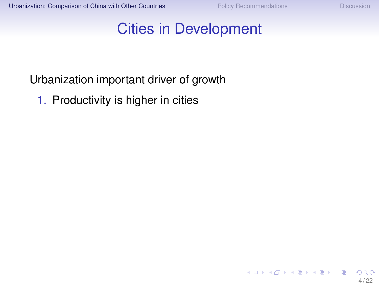#### Cities in Development

#### Urbanization important driver of growth

1. Productivity is higher in cities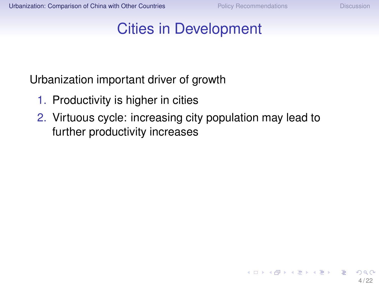**≮ロト ⊀伺 ▶ ⊀ ヨ ▶ ⊀ ヨ ▶** 

#### Cities in Development

- 1. Productivity is higher in cities
- 2. Virtuous cycle: increasing city population may lead to further productivity increases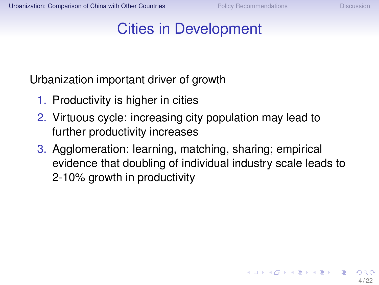K ロ ▶ K 何 ▶ K ヨ ▶ K ヨ ▶ ...

#### Cities in Development

- 1. Productivity is higher in cities
- 2. Virtuous cycle: increasing city population may lead to further productivity increases
- 3. Agglomeration: learning, matching, sharing; empirical evidence that doubling of individual industry scale leads to 2-10% growth in productivity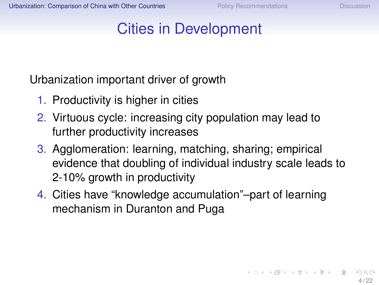## Cities in Development

- 1. Productivity is higher in cities
- 2. Virtuous cycle: increasing city population may lead to further productivity increases
- 3. Agglomeration: learning, matching, sharing; empirical evidence that doubling of individual industry scale leads to 2-10% growth in productivity
- 4. Cities have "knowledge accumulation"–part of learning mechanism in Duranton and Puga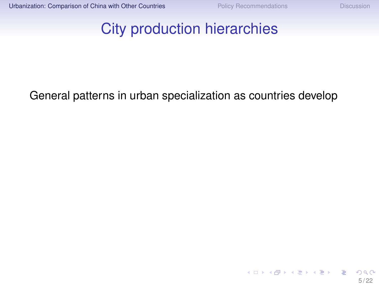#### City production hierarchies

#### General patterns in urban specialization as countries develop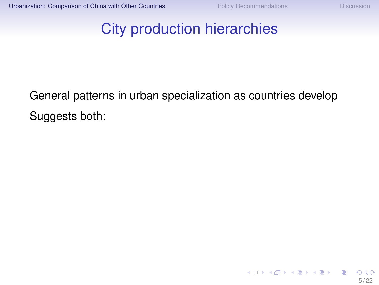#### City production hierarchies

General patterns in urban specialization as countries develop Suggests both: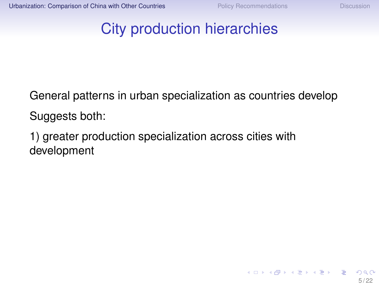K ロ ▶ K @ ▶ K 경 ▶ K 경 ▶ │ 경

#### City production hierarchies

General patterns in urban specialization as countries develop Suggests both:

1) greater production specialization across cities with development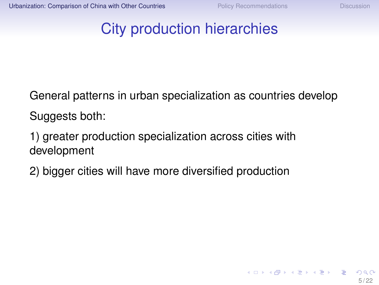$\left\{ \begin{array}{ccc} \square & \times & \overline{\cap} & \times \end{array} \right. \left\{ \begin{array}{ccc} \square & \times & \times & \square & \times \end{array} \right. \quad \square$ 

#### City production hierarchies

General patterns in urban specialization as countries develop Suggests both:

1) greater production specialization across cities with development

2) bigger cities will have more diversified production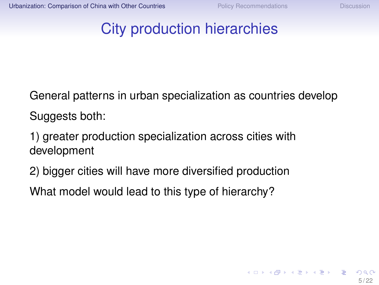#### City production hierarchies

General patterns in urban specialization as countries develop Suggests both:

1) greater production specialization across cities with development

2) bigger cities will have more diversified production

What model would lead to this type of hierarchy?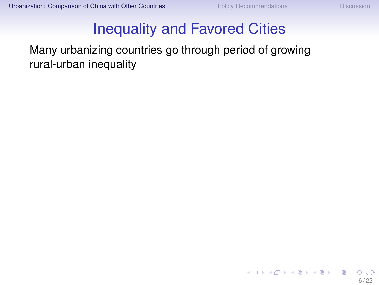#### Inequality and Favored Cities

Many urbanizing countries go through period of growing rural-urban inequality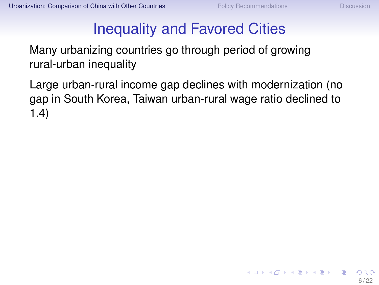K □ ▶ K @ ▶ K ミ ▶ K ミ ▶ X

#### Inequality and Favored Cities

Many urbanizing countries go through period of growing rural-urban inequality

Large urban-rural income gap declines with modernization (no gap in South Korea, Taiwan urban-rural wage ratio declined to 1.4)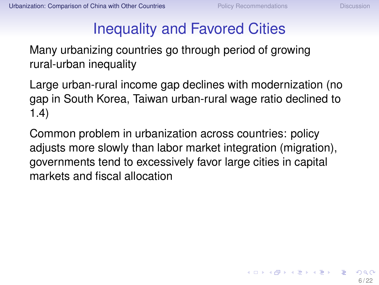$\left\{ \begin{array}{ccc} \square & \times & \overline{\cap} & \times \end{array} \right. \left\{ \begin{array}{ccc} \square & \times & \times & \square & \times \end{array} \right. \quad \square$ 

#### Inequality and Favored Cities

Many urbanizing countries go through period of growing rural-urban inequality

Large urban-rural income gap declines with modernization (no gap in South Korea, Taiwan urban-rural wage ratio declined to 1.4)

Common problem in urbanization across countries: policy adjusts more slowly than labor market integration (migration), governments tend to excessively favor large cities in capital markets and fiscal allocation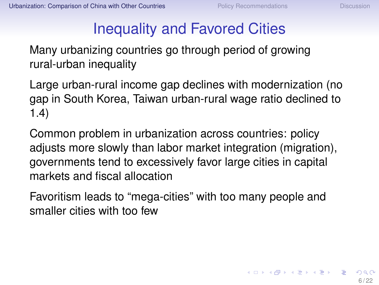#### Inequality and Favored Cities

Many urbanizing countries go through period of growing rural-urban inequality

Large urban-rural income gap declines with modernization (no gap in South Korea, Taiwan urban-rural wage ratio declined to 1.4)

Common problem in urbanization across countries: policy adjusts more slowly than labor market integration (migration), governments tend to excessively favor large cities in capital markets and fiscal allocation

Favoritism leads to "mega-cities" with too many people and smaller cities with too few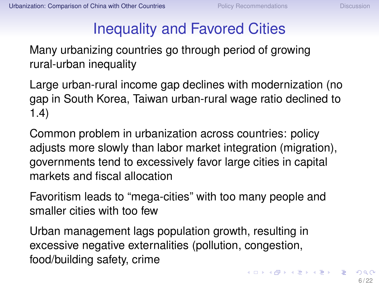#### Inequality and Favored Cities

<span id="page-25-0"></span>Many urbanizing countries go through period of growing rural-urban inequality

Large urban-rural income gap declines with modernization (no gap in South Korea, Taiwan urban-rural wage ratio declined to 1.4)

Common problem in urbanization across countries: policy adjusts more slowly than labor market integration (migration), governments tend to excessively favor large cities in capital markets and fiscal allocation

Favoritism leads to "mega-cities" with too many people and smaller cities with too few

Urban management lags population growth, resulting in excessive negative externalities (pollution, congestion, food/building safety, crime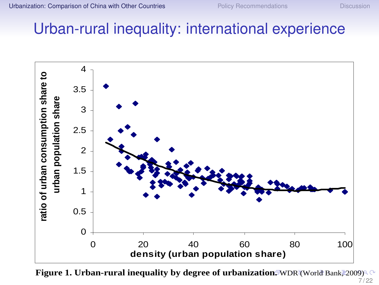#### <span id="page-26-0"></span>Urban-rural inequality: international experience 2006, or the line in Figure 2 shifts up (not down). The information on China documents



**Figure 1. Urban-rural inequality by degree of urba[niz](#page-25-0)a[ti](#page-27-0)[on](#page-25-0)[.](#page-26-0) [W](#page-40-0)[D](#page-10-0)[R](#page-11-0) [\(](#page-39-0)W[or](#page-10-0)[ld](#page-11-0)[Ba](#page-40-0)[nk](#page-0-0) 2009)**  $7/22$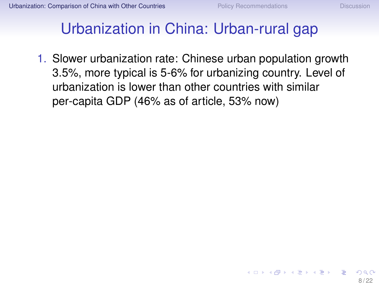## <span id="page-27-0"></span>Urbanization in China: Urban-rural gap

1. Slower urbanization rate: Chinese urban population growth 3.5%, more typical is 5-6% for urbanizing country. Level of urbanization is lower than other countries with similar per-capita GDP (46% as of article, 53% now)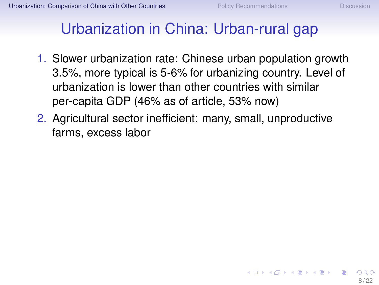イロト イ押 トイヨ トイヨト

## Urbanization in China: Urban-rural gap

- 1. Slower urbanization rate: Chinese urban population growth 3.5%, more typical is 5-6% for urbanizing country. Level of urbanization is lower than other countries with similar per-capita GDP (46% as of article, 53% now)
- 2. Agricultural sector inefficient: many, small, unproductive farms, excess labor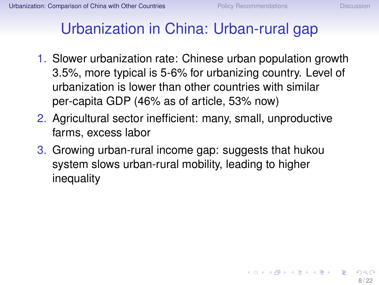$\left\{ \begin{array}{ccc} \square & \times & \square & \times & \times \end{array} \right.$  and  $\left\{ \begin{array}{ccc} \square & \times & \times & \square & \times \end{array} \right.$ 

## Urbanization in China: Urban-rural gap

- 1. Slower urbanization rate: Chinese urban population growth 3.5%, more typical is 5-6% for urbanizing country. Level of urbanization is lower than other countries with similar per-capita GDP (46% as of article, 53% now)
- 2. Agricultural sector inefficient: many, small, unproductive farms, excess labor
- 3. Growing urban-rural income gap: suggests that hukou system slows urban-rural mobility, leading to higher inequality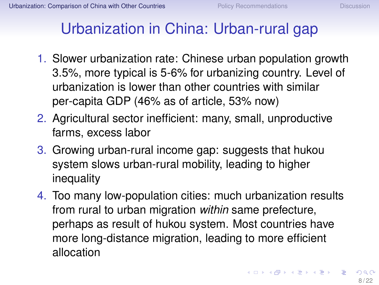## Urbanization in China: Urban-rural gap

- 1. Slower urbanization rate: Chinese urban population growth 3.5%, more typical is 5-6% for urbanizing country. Level of urbanization is lower than other countries with similar per-capita GDP (46% as of article, 53% now)
- 2. Agricultural sector inefficient: many, small, unproductive farms, excess labor
- 3. Growing urban-rural income gap: suggests that hukou system slows urban-rural mobility, leading to higher inequality
- 4. Too many low-population cities: much urbanization results from rural to urban migration *within* same prefecture, perhaps as result of hukou system. Most countries have more long-distance migration, leading to more efficient allocation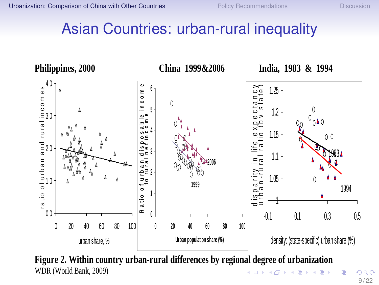#### <span id="page-31-0"></span>Asian Countries: urban-rural inequality



**Figure 2. Within country urban-rural differences by regional degree of urbanization**  WDR (World Bank, 2009)  $\left\{ \begin{array}{ccc} 1 & 0 & 0 \\ 0 & 1 & 0 \end{array} \right. \times \left\{ \begin{array}{ccc} 0 & 0 & 0 \\ 0 & 0 & 0 \end{array} \right. \times \left\{ \begin{array}{ccc} 0 & 0 & 0 \\ 0 & 0 & 0 \end{array} \right.$ 

 $290$ 9 / 22

∍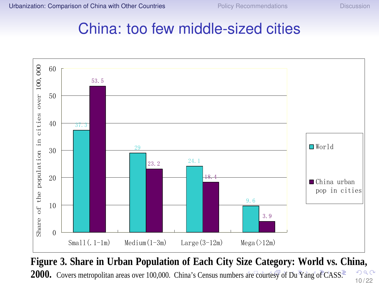# <span id="page-32-0"></span>**Example 2** China: too few middle-sized cities



**Figure 3. Share in Urban Population of Each City Size Category: World vs. China,**   $QQ$ **2000.** Covers metropolitan [are](#page-31-0)as over 100,000. China's Census numbers are c[ou](#page-33-0)[rte](#page-31-0)[sy o](#page-32-0)[f](#page-33-0) [D](#page-10-0)[u](#page-11-0) [Y](#page-39-0)[an](#page-40-0)[g](#page-10-0) [of](#page-11-0) [C](#page-39-0)[A](#page-40-0)[SS.](#page-0-0) 10 / 22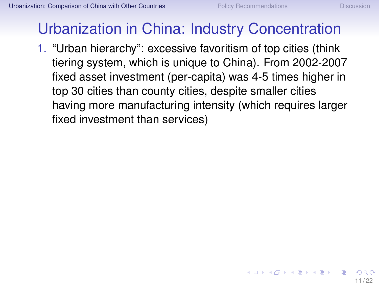$\left\{ \begin{array}{ccc} \square & \times & \overline{\cap} & \times \end{array} \right. \left\{ \begin{array}{ccc} \square & \times & \times & \square & \times \end{array} \right. \quad \square$ 

# <span id="page-33-0"></span>Urbanization in China: Industry Concentration

1. "Urban hierarchy": excessive favoritism of top cities (think tiering system, which is unique to China). From 2002-2007 fixed asset investment (per-capita) was 4-5 times higher in top 30 cities than county cities, despite smaller cities having more manufacturing intensity (which requires larger fixed investment than services)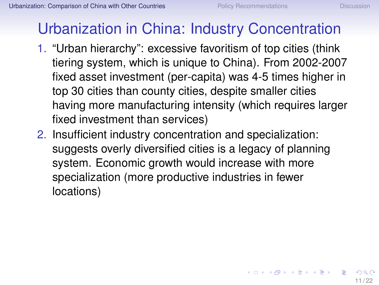# Urbanization in China: Industry Concentration

- 1. "Urban hierarchy": excessive favoritism of top cities (think tiering system, which is unique to China). From 2002-2007 fixed asset investment (per-capita) was 4-5 times higher in top 30 cities than county cities, despite smaller cities having more manufacturing intensity (which requires larger fixed investment than services)
- 2. Insufficient industry concentration and specialization: suggests overly diversified cities is a legacy of planning system. Economic growth would increase with more specialization (more productive industries in fewer locations)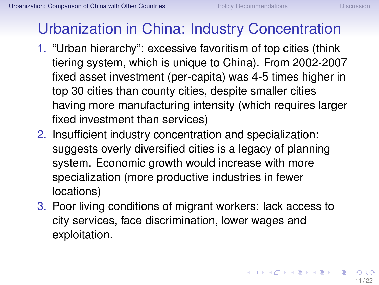# Urbanization in China: Industry Concentration

- 1. "Urban hierarchy": excessive favoritism of top cities (think tiering system, which is unique to China). From 2002-2007 fixed asset investment (per-capita) was 4-5 times higher in top 30 cities than county cities, despite smaller cities having more manufacturing intensity (which requires larger fixed investment than services)
- 2. Insufficient industry concentration and specialization: suggests overly diversified cities is a legacy of planning system. Economic growth would increase with more specialization (more productive industries in fewer locations)
- 3. Poor living conditions of migrant workers: lack access to city services, face discrimination, lower wages and exploitation.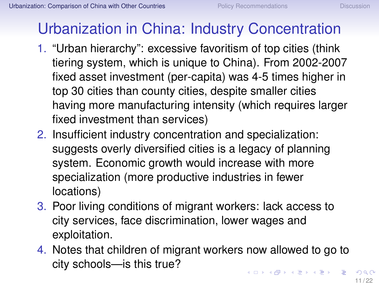# <span id="page-36-0"></span>Urbanization in China: Industry Concentration

- 1. "Urban hierarchy": excessive favoritism of top cities (think tiering system, which is unique to China). From 2002-2007 fixed asset investment (per-capita) was 4-5 times higher in top 30 cities than county cities, despite smaller cities having more manufacturing intensity (which requires larger fixed investment than services)
- 2. Insufficient industry concentration and specialization: suggests overly diversified cities is a legacy of planning system. Economic growth would increase with more specialization (more productive industries in fewer locations)
- 3. Poor living conditions of migrant workers: lack access to city services, face discrimination, lower wages and exploitation.
- 4. Notes that children of migrant workers now allowed to go to city schools—is this true?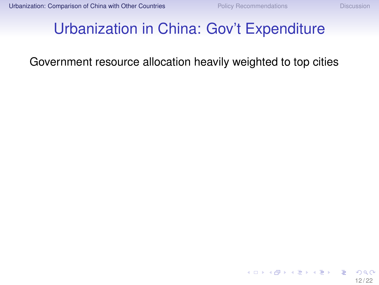## <span id="page-37-0"></span>Urbanization in China: Gov't Expenditure

#### Government resource allocation heavily weighted to top cities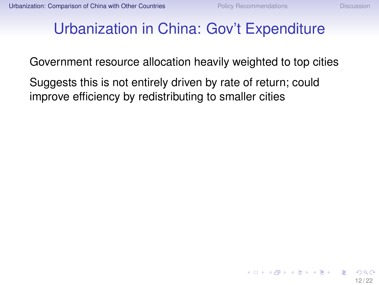$\left\{ \begin{array}{ccc} \square & \times & \cap \mathbb{R} \rightarrow & \times \mathbb{R} \rightarrow & \times \mathbb{R} \rightarrow & \mathbb{R} \end{array} \right.$ 

### <span id="page-38-0"></span>Urbanization in China: Gov't Expenditure

Government resource allocation heavily weighted to top cities

Suggests this is not entirely driven by rate of return; could improve efficiency by redistributing to smaller cities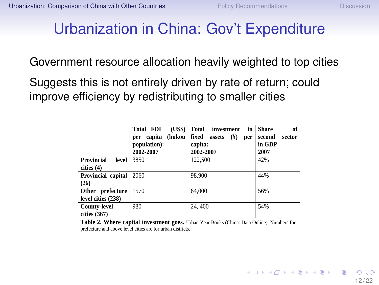#### <span id="page-39-0"></span>Urbanization in China: Gov't Expenditure capital in the terminal in the terminal in China is low compared to the industrial and agricultural and agricultural and agricultural and agricultural and agricultural and agricultural and agricultural and agricultural and

Government resource allocation heavily weighted to top cities

Suggests this is not entirely driven by rate of return; could improve efficiency by redistributing to smaller cities

|                                        | (US\$)<br><b>Total FDI</b><br>(hukou<br>per capita<br>population):<br>2002-2007 | Total<br>investment<br>in<br>fixed assets<br>$(\mathbf{Y})$<br>per<br>capita:<br>2002-2007 | of<br><b>Share</b><br>second<br>sector<br>in GDP<br>2007 |
|----------------------------------------|---------------------------------------------------------------------------------|--------------------------------------------------------------------------------------------|----------------------------------------------------------|
| Provincial<br>level<br>cities (4)      | 3850                                                                            | 122.500                                                                                    | 42%                                                      |
| Provincial capital<br>(26)             | 2060                                                                            | 98,900                                                                                     | 44%                                                      |
| Other prefecture<br>level cities (238) | 1570                                                                            | 64,000                                                                                     | 56%                                                      |
| <b>County-level</b><br>cities $(367)$  | 980                                                                             | 24, 400                                                                                    | 54%                                                      |

**Table 2. Where capital investment goes.** Urban Year Books (China: Data Online). Numbers for prefecture and above level cities are for urban districts.

 $f$ foldow the money. Too of this r[es](#page-10-0)ults in our  $f$ with a low  $\frac{12}{22}$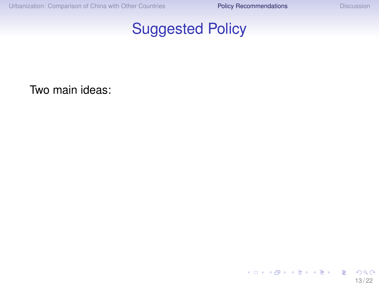

<span id="page-40-0"></span>Two main ideas:

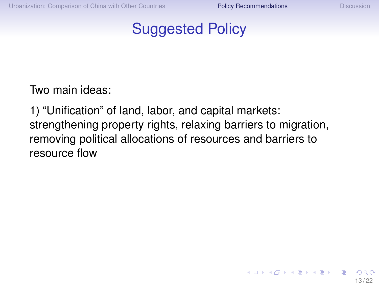イロト イ押ト イヨト イヨト

#### Suggested Policy

Two main ideas:

1) "Unification" of land, labor, and capital markets: strengthening property rights, relaxing barriers to migration, removing political allocations of resources and barriers to resource flow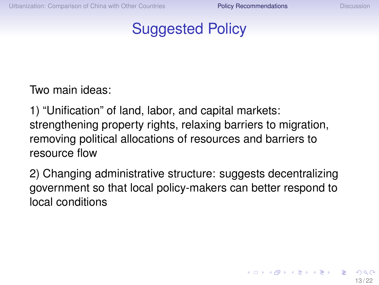#### Suggested Policy

Two main ideas:

1) "Unification" of land, labor, and capital markets: strengthening property rights, relaxing barriers to migration, removing political allocations of resources and barriers to resource flow

2) Changing administrative structure: suggests decentralizing government so that local policy-makers can better respond to local conditions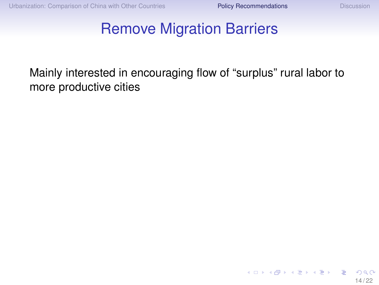**K ロメ K 御 メ K 君 メ K 君 メー** 

#### Remove Migration Barriers

Mainly interested in encouraging flow of "surplus" rural labor to more productive cities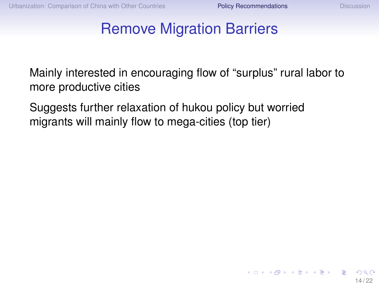**≮ロト ⊀伺 ▶ ⊀ ヨ ▶ ⊀ ヨ ▶** 

#### Remove Migration Barriers

Mainly interested in encouraging flow of "surplus" rural labor to more productive cities

Suggests further relaxation of hukou policy but worried migrants will mainly flow to mega-cities (top tier)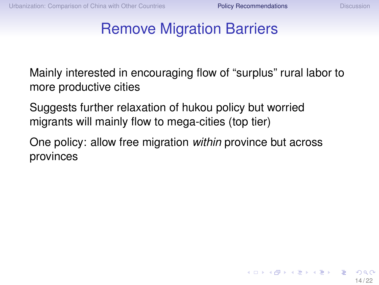K □ ▶ K @ ▶ K ミ ▶ K ミ ▶ X

#### Remove Migration Barriers

Mainly interested in encouraging flow of "surplus" rural labor to more productive cities

Suggests further relaxation of hukou policy but worried migrants will mainly flow to mega-cities (top tier)

One policy: allow free migration *within* province but across provinces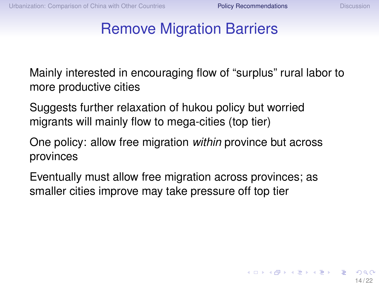イロト イ押 トイヨ トイヨト

#### Remove Migration Barriers

Mainly interested in encouraging flow of "surplus" rural labor to more productive cities

Suggests further relaxation of hukou policy but worried migrants will mainly flow to mega-cities (top tier)

One policy: allow free migration *within* province but across provinces

Eventually must allow free migration across provinces; as smaller cities improve may take pressure off top tier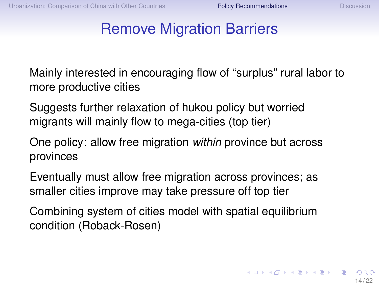#### Remove Migration Barriers

Mainly interested in encouraging flow of "surplus" rural labor to more productive cities

Suggests further relaxation of hukou policy but worried migrants will mainly flow to mega-cities (top tier)

One policy: allow free migration *within* province but across provinces

Eventually must allow free migration across provinces; as smaller cities improve may take pressure off top tier

Combining system of cities model with spatial equilibrium condition (Roback-Rosen)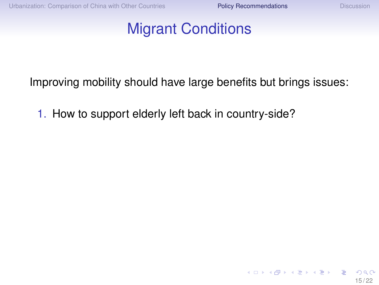イロト イ押ト イヨト イヨト

#### Migrant Conditions

Improving mobility should have large benefits but brings issues:

1. How to support elderly left back in country-side?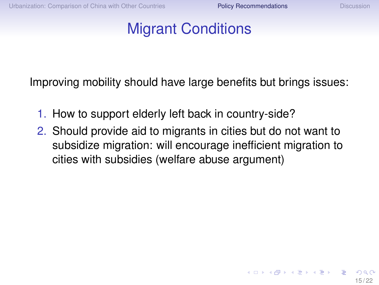K ロ ▶ K 何 ▶ K ヨ ▶ K ヨ ▶ ...

### Migrant Conditions

Improving mobility should have large benefits but brings issues:

- 1. How to support elderly left back in country-side?
- 2. Should provide aid to migrants in cities but do not want to subsidize migration: will encourage inefficient migration to cities with subsidies (welfare abuse argument)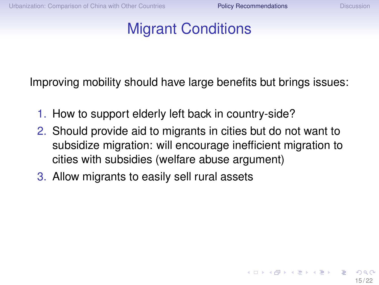K ロ ▶ K 何 ▶ K ヨ ▶ K ヨ ▶ ...

## Migrant Conditions

Improving mobility should have large benefits but brings issues:

- 1. How to support elderly left back in country-side?
- 2. Should provide aid to migrants in cities but do not want to subsidize migration: will encourage inefficient migration to cities with subsidies (welfare abuse argument)
- 3. Allow migrants to easily sell rural assets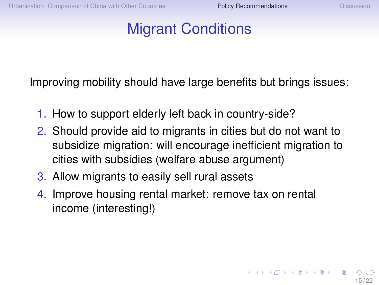K □ ▶ K @ ▶ K ミ ▶ K ミ ▶ X

## Migrant Conditions

Improving mobility should have large benefits but brings issues:

- 1. How to support elderly left back in country-side?
- 2. Should provide aid to migrants in cities but do not want to subsidize migration: will encourage inefficient migration to cities with subsidies (welfare abuse argument)
- 3. Allow migrants to easily sell rural assets
- 4. Improve housing rental market: remove tax on rental income (interesting!)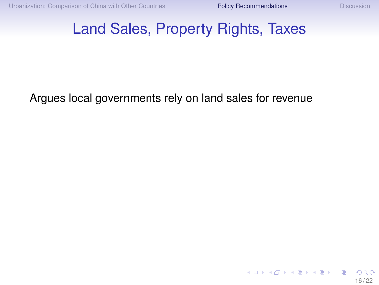K ロ ▶ K 御 ▶ K 君 ▶ K 君 ▶ ...

#### Land Sales, Property Rights, Taxes

Argues local governments rely on land sales for revenue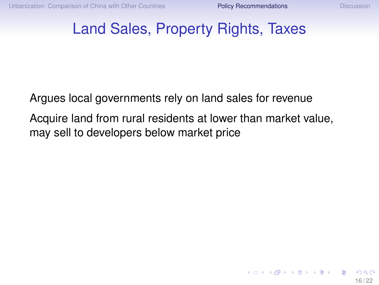#### Land Sales, Property Rights, Taxes

Argues local governments rely on land sales for revenue

Acquire land from rural residents at lower than market value, may sell to developers below market price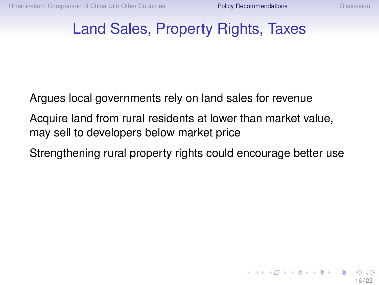#### Land Sales, Property Rights, Taxes

Argues local governments rely on land sales for revenue

Acquire land from rural residents at lower than market value, may sell to developers below market price

Strengthening rural property rights could encourage better use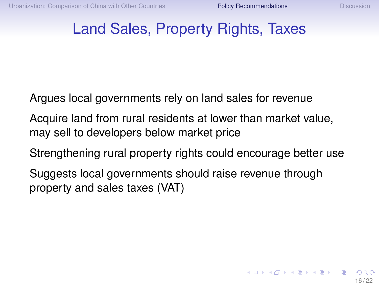#### Land Sales, Property Rights, Taxes

Argues local governments rely on land sales for revenue

Acquire land from rural residents at lower than market value, may sell to developers below market price

Strengthening rural property rights could encourage better use

Suggests local governments should raise revenue through property and sales taxes (VAT)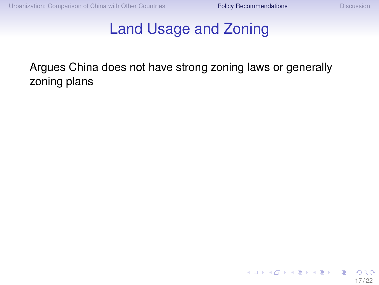#### Land Usage and Zoning

Argues China does not have strong zoning laws or generally zoning plans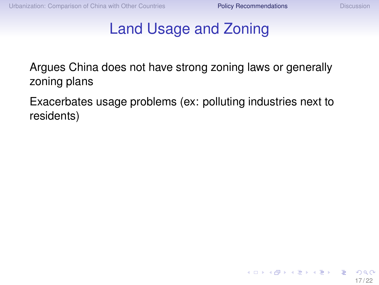K ロ ▶ K 何 ▶ K ヨ ▶ K ヨ ▶ ...

#### Land Usage and Zoning

Argues China does not have strong zoning laws or generally zoning plans

Exacerbates usage problems (ex: polluting industries next to residents)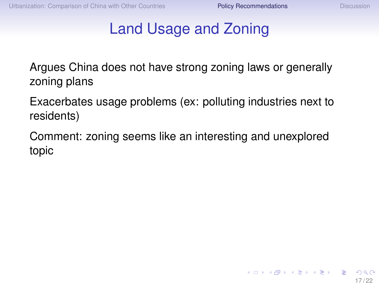$\left\{ \begin{array}{ccc} \square & \times & \overline{\cap} & \times \end{array} \right. \left\{ \begin{array}{ccc} \square & \times & \times & \square & \times \end{array} \right. \quad \square$ 

#### Land Usage and Zoning

Argues China does not have strong zoning laws or generally zoning plans

Exacerbates usage problems (ex: polluting industries next to residents)

Comment: zoning seems like an interesting and unexplored topic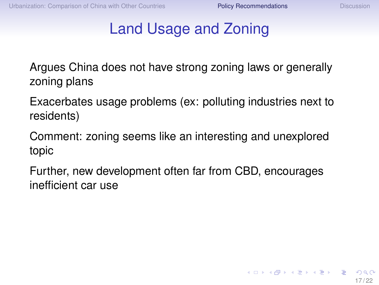### Land Usage and Zoning

Argues China does not have strong zoning laws or generally zoning plans

Exacerbates usage problems (ex: polluting industries next to residents)

Comment: zoning seems like an interesting and unexplored topic

Further, new development often far from CBD, encourages inefficient car use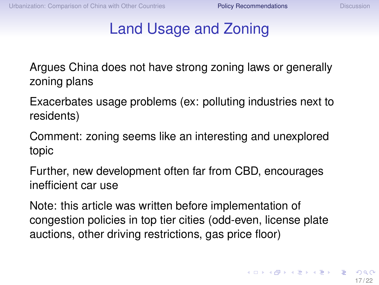### Land Usage and Zoning

Argues China does not have strong zoning laws or generally zoning plans

Exacerbates usage problems (ex: polluting industries next to residents)

Comment: zoning seems like an interesting and unexplored topic

Further, new development often far from CBD, encourages inefficient car use

Note: this article was written before implementation of congestion policies in top tier cities (odd-even, license plate auctions, other driving restrictions, gas price floor)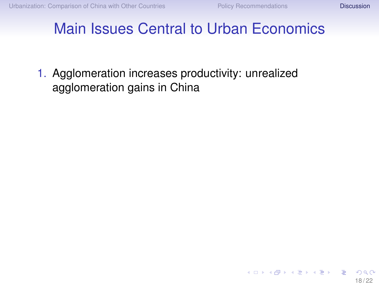イロト イ団 トイ ヨ トイ ヨ トー

#### <span id="page-61-0"></span>Main Issues Central to Urban Economics

1. Agglomeration increases productivity: unrealized agglomeration gains in China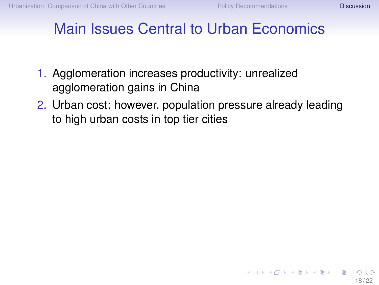- 1. Agglomeration increases productivity: unrealized agglomeration gains in China
- 2. Urban cost: however, population pressure already leading to high urban costs in top tier cities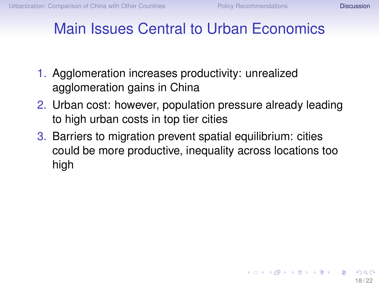$\left\{ \begin{array}{ccc} \square & \times & \overline{\cap} & \times \end{array} \right. \left\{ \begin{array}{ccc} \square & \times & \times & \square & \times \end{array} \right. \quad \square$ 

- 1. Agglomeration increases productivity: unrealized agglomeration gains in China
- 2. Urban cost: however, population pressure already leading to high urban costs in top tier cities
- 3. Barriers to migration prevent spatial equilibrium: cities could be more productive, inequality across locations too high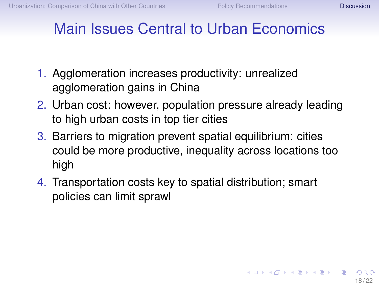$\left\{ \begin{array}{ccc} \square & \times & \overline{\cap} & \times \end{array} \right. \left\{ \begin{array}{ccc} \square & \times & \times & \square & \times \end{array} \right. \quad \square$ 

- 1. Agglomeration increases productivity: unrealized agglomeration gains in China
- 2. Urban cost: however, population pressure already leading to high urban costs in top tier cities
- 3. Barriers to migration prevent spatial equilibrium: cities could be more productive, inequality across locations too high
- 4. Transportation costs key to spatial distribution; smart policies can limit sprawl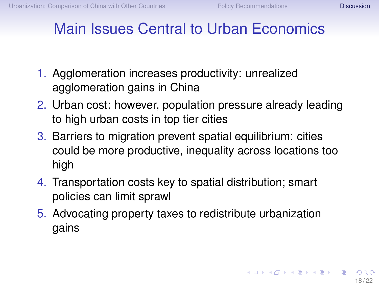- 1. Agglomeration increases productivity: unrealized agglomeration gains in China
- 2. Urban cost: however, population pressure already leading to high urban costs in top tier cities
- 3. Barriers to migration prevent spatial equilibrium: cities could be more productive, inequality across locations too high
- 4. Transportation costs key to spatial distribution; smart policies can limit sprawl
- 5. Advocating property taxes to redistribute urbanization gains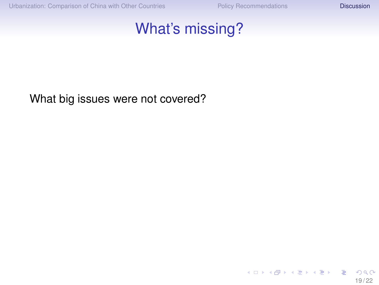#### What's missing?

#### What big issues were not covered?

メロメメ 御 メメ きょく きょう э  $299$ 19 / 22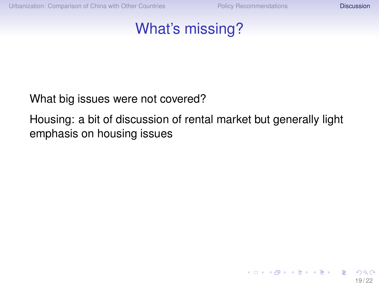イロト イ押 トイヨ トイヨト

#### What's missing?

#### What big issues were not covered?

Housing: a bit of discussion of rental market but generally light emphasis on housing issues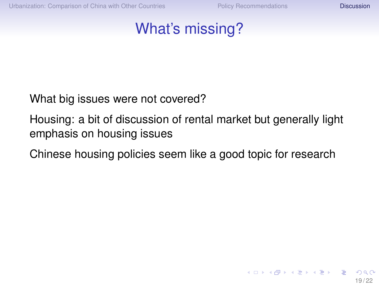#### What's missing?

What big issues were not covered?

Housing: a bit of discussion of rental market but generally light emphasis on housing issues

Chinese housing policies seem like a good topic for research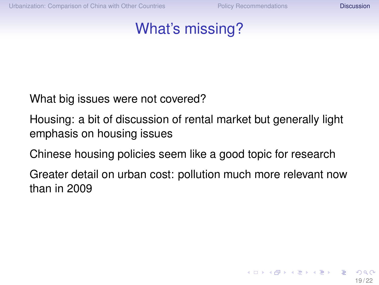#### What's missing?

What big issues were not covered?

Housing: a bit of discussion of rental market but generally light emphasis on housing issues

Chinese housing policies seem like a good topic for research

Greater detail on urban cost: pollution much more relevant now than in 2009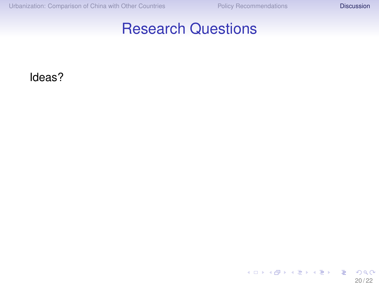#### Research Questions

Ideas?

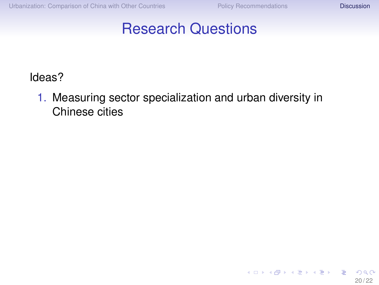(ロトス個)→(理)→(理)→

#### Research Questions

Ideas?

1. Measuring sector specialization and urban diversity in Chinese cities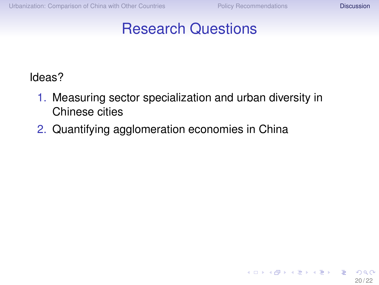**≮ロト ⊀伺 ▶ ⊀ ヨ ▶ ⊀ ヨ ▶** 

#### Research Questions

- 1. Measuring sector specialization and urban diversity in Chinese cities
- 2. Quantifying agglomeration economies in China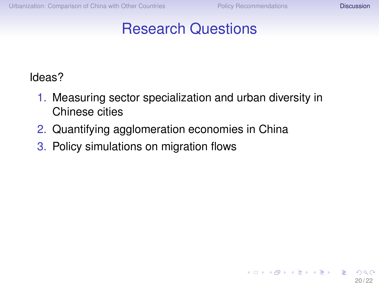イロト イ押ト イヨト イヨト

#### Research Questions

- 1. Measuring sector specialization and urban diversity in Chinese cities
- 2. Quantifying agglomeration economies in China
- 3. Policy simulations on migration flows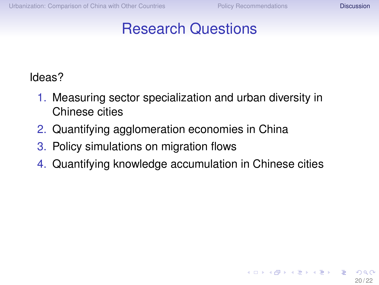イロト イ押ト イヨト イヨト

#### Research Questions

- 1. Measuring sector specialization and urban diversity in Chinese cities
- 2. Quantifying agglomeration economies in China
- 3. Policy simulations on migration flows
- 4. Quantifying knowledge accumulation in Chinese cities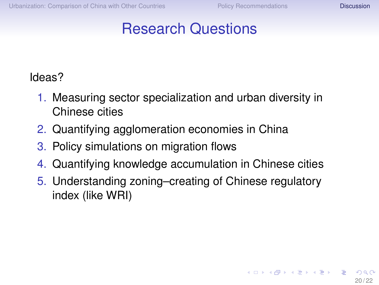イロト イ押 トイヨ トイヨ トー

## Research Questions

- 1. Measuring sector specialization and urban diversity in Chinese cities
- 2. Quantifying agglomeration economies in China
- 3. Policy simulations on migration flows
- 4. Quantifying knowledge accumulation in Chinese cities
- 5. Understanding zoning–creating of Chinese regulatory index (like WRI)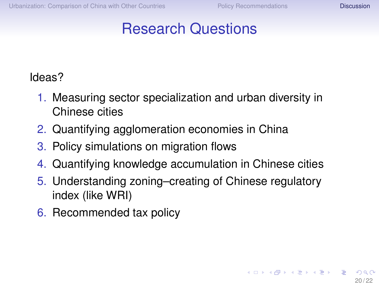**≮ロト ⊀伺 ▶ ⊀ ヨ ▶ ⊀ ヨ ▶** 

# Research Questions

- 1. Measuring sector specialization and urban diversity in Chinese cities
- 2. Quantifying agglomeration economies in China
- 3. Policy simulations on migration flows
- 4. Quantifying knowledge accumulation in Chinese cities
- 5. Understanding zoning–creating of Chinese regulatory index (like WRI)
- 6. Recommended tax policy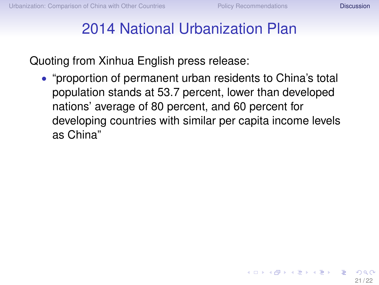$\left\{ \begin{array}{ccc} \square & \times & \overline{\cap} & \times \end{array} \right. \left\{ \begin{array}{ccc} \square & \times & \times & \square & \times \end{array} \right. \quad \square$ 

## 2014 National Urbanization Plan

Quoting from Xinhua English press release:

• "proportion of permanent urban residents to China's total population stands at 53.7 percent, lower than developed nations' average of 80 percent, and 60 percent for developing countries with similar per capita income levels as China"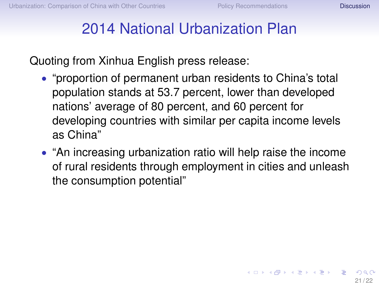$\left\{ \begin{array}{ccc} \square & \times & \square & \times & \times \end{array} \right.$  and  $\left\{ \begin{array}{ccc} \square & \times & \times & \square & \times \end{array} \right.$ 

# 2014 National Urbanization Plan

- "proportion of permanent urban residents to China's total population stands at 53.7 percent, lower than developed nations' average of 80 percent, and 60 percent for developing countries with similar per capita income levels as China"
- "An increasing urbanization ratio will help raise the income of rural residents through employment in cities and unleash the consumption potential"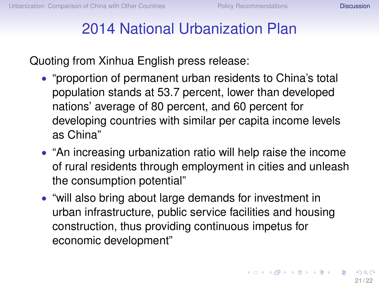# 2014 National Urbanization Plan

- "proportion of permanent urban residents to China's total population stands at 53.7 percent, lower than developed nations' average of 80 percent, and 60 percent for developing countries with similar per capita income levels as China"
- "An increasing urbanization ratio will help raise the income of rural residents through employment in cities and unleash the consumption potential"
- "will also bring about large demands for investment in urban infrastructure, public service facilities and housing construction, thus providing continuous impetus for economic development"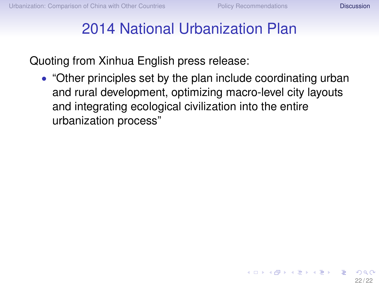$\left\{ \begin{array}{ccc} \square & \times & \overline{\cap} & \times \end{array} \right. \left\{ \begin{array}{ccc} \square & \times & \times & \square & \times \end{array} \right. \quad \square$ 

## 2014 National Urbanization Plan

Quoting from Xinhua English press release:

• "Other principles set by the plan include coordinating urban and rural development, optimizing macro-level city layouts and integrating ecological civilization into the entire urbanization process"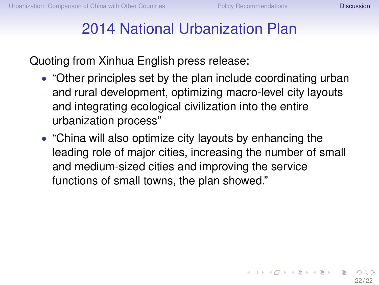$\left\{ \begin{array}{ccc} \square & \rightarrow & \left\langle \bigoplus \gamma & \vee \gamma \equiv \gamma & \vee \exists \gamma \end{array} \right. \right.$ 

## 2014 National Urbanization Plan

- "Other principles set by the plan include coordinating urban and rural development, optimizing macro-level city layouts and integrating ecological civilization into the entire urbanization process"
- "China will also optimize city layouts by enhancing the leading role of major cities, increasing the number of small and medium-sized cities and improving the service functions of small towns, the plan showed."